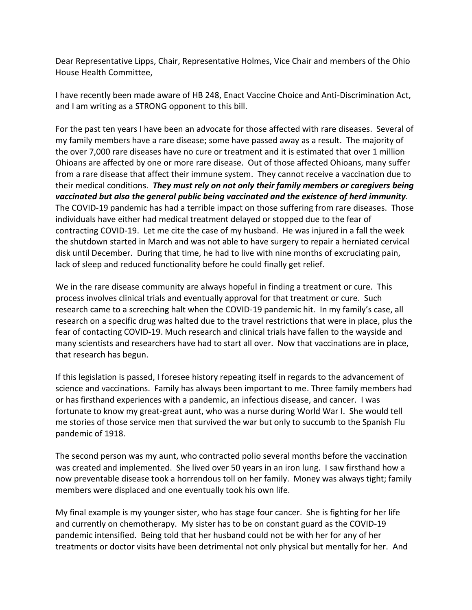Dear Representative Lipps, Chair, Representative Holmes, Vice Chair and members of the Ohio House Health Committee,

I have recently been made aware of HB 248, Enact Vaccine Choice and Anti-Discrimination Act, and I am writing as a STRONG opponent to this bill.

For the past ten years I have been an advocate for those affected with rare diseases. Several of my family members have a rare disease; some have passed away as a result. The majority of the over 7,000 rare diseases have no cure or treatment and it is estimated that over 1 million Ohioans are affected by one or more rare disease. Out of those affected Ohioans, many suffer from a rare disease that affect their immune system. They cannot receive a vaccination due to their medical conditions. *They must rely on not only their family members or caregivers being vaccinated but also the general public being vaccinated and the existence of herd immunity.* The COVID-19 pandemic has had a terrible impact on those suffering from rare diseases. Those individuals have either had medical treatment delayed or stopped due to the fear of contracting COVID-19. Let me cite the case of my husband. He was injured in a fall the week the shutdown started in March and was not able to have surgery to repair a herniated cervical disk until December. During that time, he had to live with nine months of excruciating pain, lack of sleep and reduced functionality before he could finally get relief.

We in the rare disease community are always hopeful in finding a treatment or cure. This process involves clinical trials and eventually approval for that treatment or cure. Such research came to a screeching halt when the COVID-19 pandemic hit. In my family's case, all research on a specific drug was halted due to the travel restrictions that were in place, plus the fear of contacting COVID-19. Much research and clinical trials have fallen to the wayside and many scientists and researchers have had to start all over. Now that vaccinations are in place, that research has begun.

If this legislation is passed, I foresee history repeating itself in regards to the advancement of science and vaccinations. Family has always been important to me. Three family members had or has firsthand experiences with a pandemic, an infectious disease, and cancer. I was fortunate to know my great-great aunt, who was a nurse during World War I. She would tell me stories of those service men that survived the war but only to succumb to the Spanish Flu pandemic of 1918.

The second person was my aunt, who contracted polio several months before the vaccination was created and implemented. She lived over 50 years in an iron lung. I saw firsthand how a now preventable disease took a horrendous toll on her family. Money was always tight; family members were displaced and one eventually took his own life.

My final example is my younger sister, who has stage four cancer. She is fighting for her life and currently on chemotherapy. My sister has to be on constant guard as the COVID-19 pandemic intensified. Being told that her husband could not be with her for any of her treatments or doctor visits have been detrimental not only physical but mentally for her. And